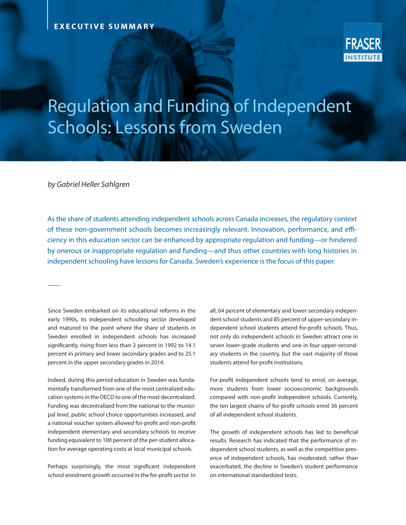

# Regulation and Funding of Independent Schools: Lessons from Sweden

*by Gabriel Heller Sahlgren*

As the share of students attending independent schools across Canada increases, the regulatory context of these non-government schools becomes increasingly relevant. Innovation, performance, and efficiency in this education sector can be enhanced by appropriate regulation and funding—or hindered by onerous or inappropriate regulation and funding—and thus other countries with long histories in independent schooling have lessons for Canada. Sweden's experience is the focus of this paper.

Since Sweden embarked on its educational reforms in the early 1990s, its independent schooling sector developed and matured to the point where the share of students in Sweden enrolled in independent schools has increased significantly, rising from less than 2 percent in 1992 to 14.1 percent in primary and lower secondary grades and to 25.1 percent in the upper secondary grades in 2014.

Indeed, during this period education in Sweden was fundamentally transformed from one of the most centralized education systems in the OECD to one of the most decentralized. Funding was decentralized from the national to the municipal level, public school choice opportunities increased, and a national voucher system allowed for-profit and non-profit independent elementary and secondary schools to receive funding equivalent to 100 percent of the per-student allocation for average operating costs at local municipal schools.

Perhaps surprisingly, the most significant independent school enrolment growth occurred in the for-profit sector. In

all, 64 percent of elementary and lower-secondary independent school students and 85 percent of upper-secondary independent school students attend for-profit schools. Thus, not only do independent schools in Sweden attract one in seven lower-grade students and one in four upper-secondary students in the country, but the vast majority of those students attend for-profit institutions.

For-profit independent schools tend to enrol, on average, more students from lower socioeconomic backgrounds compared with non-profit independent schools. Currently, the ten largest chains of for-profit schools enrol 36 percent of all independent school students.

The growth of independent schools has led to beneficial results. Research has indicated that the performance of independent school students, as well as the competitive presence of independent schools, has moderated, rather than exacerbated, the decline in Sweden's student performance on international standardized tests.